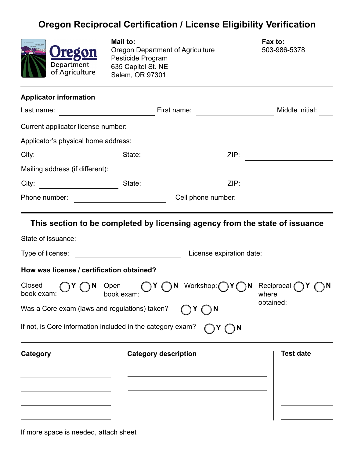## **Oregon Reciprocal Certification / License Eligibility Verification**



**Mail to:**  Oregon Department of Agriculture Pesticide Program 635 Capitol St. NE Salem, OR 97301

**Fax to:** 503-986-5378

## **Applicator information**

| Last name:                                                 | <u> 1980 - Johann Barn, mars eta bainar eta i</u>                                |                                                                                                                      | Middle initial:                              |  |  |
|------------------------------------------------------------|----------------------------------------------------------------------------------|----------------------------------------------------------------------------------------------------------------------|----------------------------------------------|--|--|
|                                                            |                                                                                  |                                                                                                                      |                                              |  |  |
|                                                            |                                                                                  |                                                                                                                      |                                              |  |  |
|                                                            |                                                                                  |                                                                                                                      | <u> 1989 - Johann Harry Maria Barbara, m</u> |  |  |
| Mailing address (if different):                            |                                                                                  | <u> Alexandria de la contrada de la contrada de la contrada de la contrada de la contrada de la contrada de la c</u> |                                              |  |  |
| City: State:                                               |                                                                                  | ZIP:                                                                                                                 |                                              |  |  |
| Phone number:                                              |                                                                                  | Cell phone number:<br>the control of the control of the control of the control of the control of the control of      |                                              |  |  |
|                                                            |                                                                                  | This section to be completed by licensing agency from the state of issuance                                          |                                              |  |  |
|                                                            |                                                                                  |                                                                                                                      |                                              |  |  |
|                                                            | Type of license: <u>____________________________</u><br>License expiration date: |                                                                                                                      |                                              |  |  |
| How was license / certification obtained?                  |                                                                                  |                                                                                                                      |                                              |  |  |
| Closed<br>book exam:                                       | book exam:                                                                       | V ( N Open ( Y ON Workshop: Y ) Y<br>$\bigcap N$                                                                     | Reciprocal $\bigcap Y$<br>where              |  |  |
| Was a Core exam (laws and regulations) taken?              |                                                                                  | ηN                                                                                                                   | obtained:                                    |  |  |
| If not, is Core information included in the category exam? |                                                                                  | $\bigcap$ N                                                                                                          |                                              |  |  |
| Category                                                   | <b>Category description</b>                                                      |                                                                                                                      | <b>Test date</b>                             |  |  |
|                                                            |                                                                                  |                                                                                                                      |                                              |  |  |
|                                                            |                                                                                  |                                                                                                                      |                                              |  |  |
|                                                            |                                                                                  |                                                                                                                      |                                              |  |  |
|                                                            |                                                                                  |                                                                                                                      |                                              |  |  |

If more space is needed, attach sheet